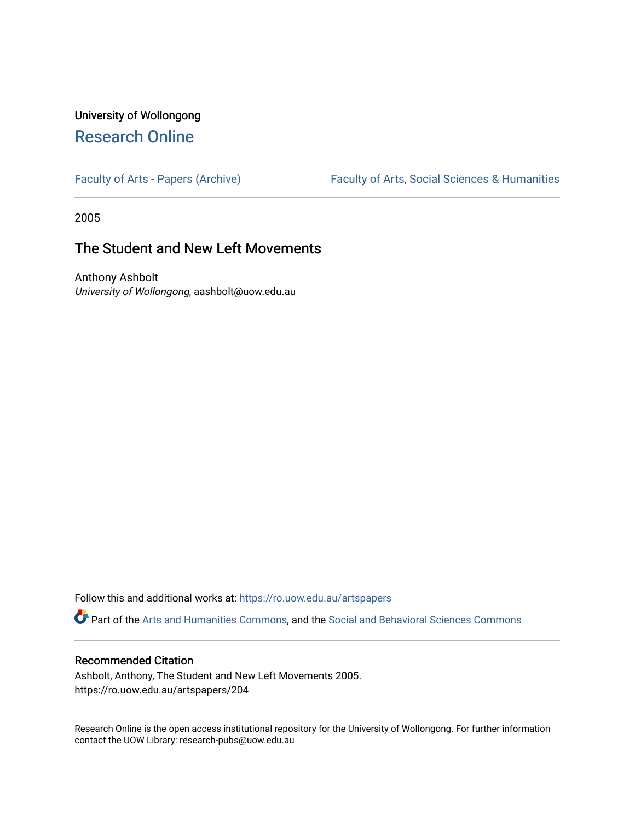## University of Wollongong [Research Online](https://ro.uow.edu.au/)

[Faculty of Arts - Papers \(Archive\)](https://ro.uow.edu.au/artspapers) Faculty of Arts, Social Sciences & Humanities

2005

### The Student and New Left Movements

Anthony Ashbolt University of Wollongong, aashbolt@uow.edu.au

Follow this and additional works at: [https://ro.uow.edu.au/artspapers](https://ro.uow.edu.au/artspapers?utm_source=ro.uow.edu.au%2Fartspapers%2F204&utm_medium=PDF&utm_campaign=PDFCoverPages) 

Part of the [Arts and Humanities Commons,](http://network.bepress.com/hgg/discipline/438?utm_source=ro.uow.edu.au%2Fartspapers%2F204&utm_medium=PDF&utm_campaign=PDFCoverPages) and the [Social and Behavioral Sciences Commons](http://network.bepress.com/hgg/discipline/316?utm_source=ro.uow.edu.au%2Fartspapers%2F204&utm_medium=PDF&utm_campaign=PDFCoverPages)

#### Recommended Citation

Ashbolt, Anthony, The Student and New Left Movements 2005. https://ro.uow.edu.au/artspapers/204

Research Online is the open access institutional repository for the University of Wollongong. For further information contact the UOW Library: research-pubs@uow.edu.au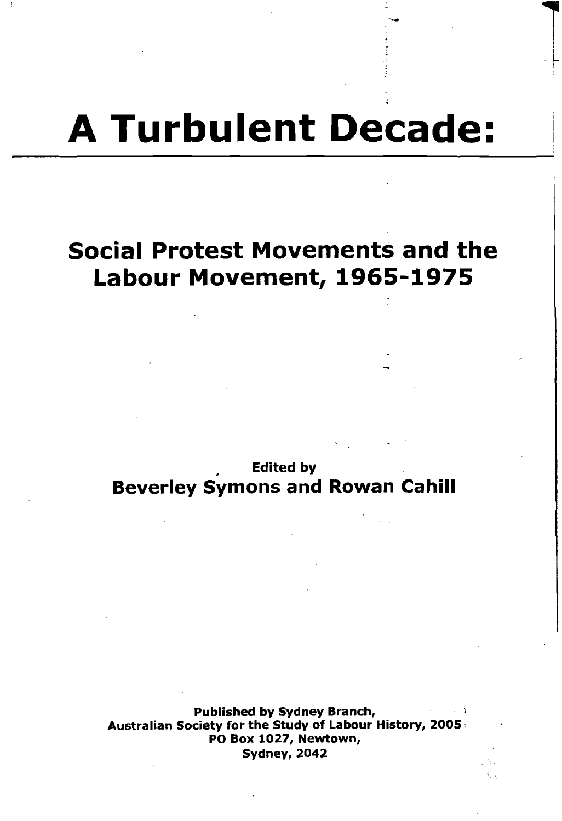# **A Turbulent Decade:**

--

**1** I .~

# **Social Protest Movements and the Labour Movement, 1965-1975**

• Edited by **Beverley Symons and Rowan Cahill**

Published by Sydney Branch, Australian Society for the Study of Labour History, 2005. PO Box 1027, Newtown, Sydney, 2042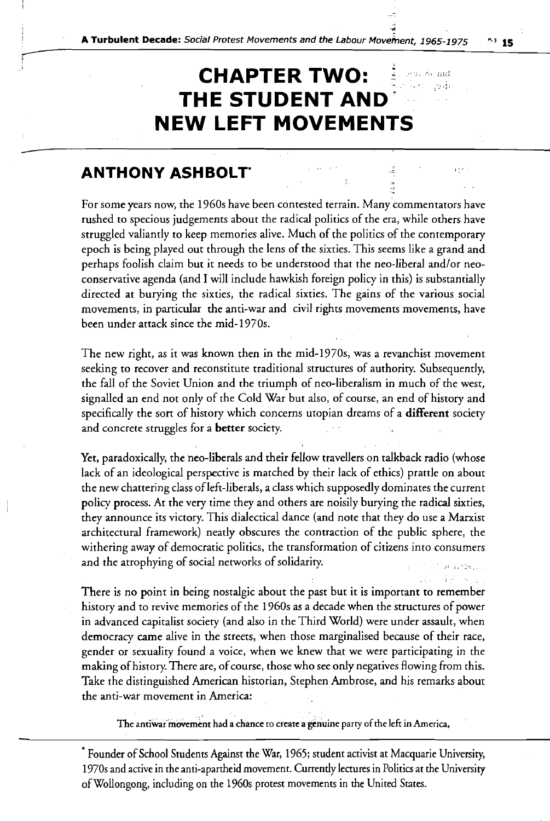### **CHAPTER TWO:** indi, Avi aad **THE STUDENT AND' NEW LEFT MOVEMENTS**

### **ANTHONY ASHBOLT\***

For some years now, the 1960s have been contested terrain. Many-commentators have rushed to specious judgements about the radical politics of the era, while others have struggled valiantly to keep memories alive. Much of the politics of the contemporary epoch is being played out through the lens of the sixties. This seems like a grand and perhaps foolish claim but it needs to be understood that the neo-liberal and/or neoconservative agenda (and I will include hawkish foreign policy in this) is substantially directed at burying the sixties, the radical sixties. The gains of the various social movements, in particular the anti-war and civil rights movements movements, have been under attack since the mid-1970s.

The new right, as it was known then in the mid-1970s, was a revanchist movement seeking to recover and reconstitute traditional structures of authority. Subsequently, the fall of the Soviet Union and the triumph of neo-liberalism in much of the west, signalled an end not only of the Cold War but also, of course, an end of history and specifically the sort of history which concerns utopian dreams of a **different** society and concrete struggles for a **better** society.

Yet, paradoxically, the neo-liberals and their fellow travellers on talkback radio (whose lack of an ideological perspective is matched by their lack of ethics) prattle on about the new chattering class of left-liberals, a class which supposedly dominates the current policy process. At the very time they and others are noisily burying the radical sixties, they announce its victory. This dialectical dance (and note that they do use a Marxist architectural framework) neatly obscures the contraction of the public sphere, the withering away of democratic politics, the transformation of citizens into consumers and the atrophying of social networks of solidarity.

There is no point in being nostalgic about the past but it is important to remember history and to revive memories of the 1960s as a decade when the structures of power in advanced capitalist society (and also in the Third World) were under assault, when democracy came alive in the streets, when those marginalised because of their race, gender or sexuality found a voice, when we knew that we were participating in the making of history. There are, of course, those who see only negatives flowing from this. Take the distinguished American historian, Stephen Ambrose, and his remarks about the anti-war movement in America:

The antiwar movement had a chance to create a genuine party of the left in America,

\* Founder of School Students Against the War, 1965; student activist at Macquarie University, 1970s and active in the anti-apartheid movement. Currently lectures in Politics at the University ofWollongong, including on the 1960s protest movements in the United States.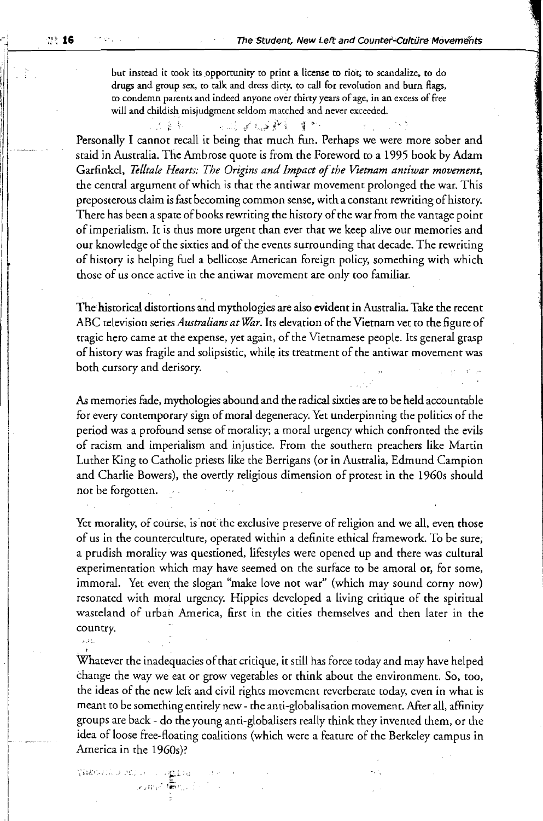but instead it took its opportunity to print a license to riot, to scandalize, to do drugs and group sex, to talk and dress dirty, to call for revolution and burn flags, to condemn parents and indeed anyone over thirty years of age, in an excess of free will and childish misjudgment seldom matched and never exceeded,

 $\sim$  15  $\pm$  36  $\sim$  16  $\sim$  16  $\sim$  16  $\pm$  36  $\sim$  16  $\sim$  16  $\sim$  17  $\sim$ 

Personally I cannot recall it being that much fun. Perhaps we were more sober and staid in Australia. The Ambrose quote is from the Foreword to a 1995 book by Adam Garfinkel, *Telltale Hearts: The Origins and Impact ofthe Vietnam antiwar movement,* the central argument of which is that the antiwar movement prolonged the war. This preposterous claim is fast becoming common sense, with a constant rewriting of history. There has been a spate of books rewriting the history of the war from the vantage point of imperialism. It is thus more urgent than ever that we keep alive our memories and our knowledge of the sixties and of the events surrounding that decade. The rewriting of history is helping fuel a bellicose American foreign policy, something with which those of us once active in the antiwar movement are only too familiar.

The historical distortions and mythologies are also evident in Australia. Take the recent ABC television series *Australians at War*. Its elevation of the Vietnam vet to the figure of tragic hero came at the expense, yet again, of the Vietnamese people. Its general grasp of history was fragile and solipsistic, while its treatment of the antiwar movement was both cursory and derisory.

As memories fade, mythologies abound and the radical sixties are to be held accountable for every contemporary sign of moral degeneracy. Yet underpinning the politics of the period was a profound sense of morality; a moral urgency which confronted the evils of racism and imperialism and injustice. From the southern preachers like Marrin Luther King to Catholic priests like the Berrigans (or in Australia, Edmund Campion and Charlie Bowers), the overtly religious dimension of protest in the 1960s should not be forgotten.

Yet morality, of course, is not the exclusive preserve of religion and we all, even those of us in the counterculture, operated within a definite ethical framework. To be sure; a prudish morality was questioned, lifestyles were opened up and there was cultural experimentation which may have seemed on the surface to be amoral or, for some, immoral. Yet even the slogan "make love not war" (which may sound corny now) resonated with moral urgency. Hippies developed a living critique of the spiritual wasteland of urban America, first in the cities themselves and then later in the country.

Whatever the inadequacies of that critique, it still has force today and may have helped change the way we eat or grow vegetables or think about the environment. So, too, the ideas of the new left and civil rights movement reverberate today, even in what is meant to be something entirely new - the anti-globalisation movement. After all, affinity groups are back - do the young anti-globalisers really think they invented them, or the idea of loose free-floating coalitions (which were a feature of the Berkeley campus in America in the 1960s)?

 $> 2\%$ 

"'i.:'i,", ) .':"" " *"E,i;*

 $_{\rm{2.50\%}}$  (  $\rm{km/s}$  ) :  $\sim$ 

iii <sup>I</sup> Iii 'I I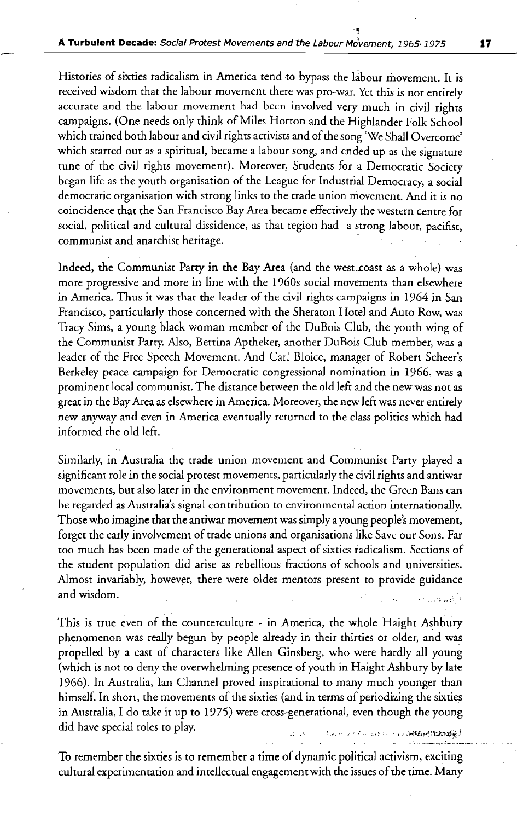-~

Histories of sixties radicalism in America tend to bypass the labour movement. It is received wisdom that the labour movement thete was pro-war. Yet this is not entirely accurate and the labour movement had been involved very much in civil rights campaigns. (One needs only think of Miles Horton and the Highlander Folk School which trained both labour and civil rights activists and of the song 'We Shall Overcome' which started out as a spiritual, became a labour song, and ended up as the signature tune of the civil rights movement). Moreover, Students for a Democratic Society began life as the youth organisation of the League for Industrial Democracy, a social democratic organisation with strong links to the trade union movement. And it is no coincidence that the San Francisco Bay Area became effectively the western centre for social, political and cultural dissidence, as that region had a strong labour, pacifist, communist and anarchist heritage.

Indeed, the Communist Party in the Bay Area (and the west coast as a whole) was more progressive and more in line with the 1960s social movements than elsewhere in America. Thus it was that the leader of the civil rights campaigns in 1964 in San Francisco, particularly those concerned with the Sheraton Hotel and Auto Row, was Tracy Sims, a young black woman member of the DuBois Club, the youth wing of the Communist Party. Also, Bettina Aptheker, another DuBois Club member, was a leader of the Free Speech Movement. And Carl Bloice, manager of Robert Scheer's Berkeley peace campaign for Democratic congressional nomination in 1966, was a prominent local communist. The distance between the old left and the new was not as great in the BayArea as elsewhere in America. Moreover, the new left was never entirely new anyway and even in America eventually returned to the class politics which had informed the old left.

Similarly, in Australia the trade union movement and Communist Party played a significant role in the social protest movements, particularly the civil rights and antiwar movements, but also later in the environment movement. Indeed, the Green Bans can be regarded as Australia's signal contribution to environmental action internationally. Those who imagine that the antiwar movement was simply a young people's movement, forget the early involvement of trade unions and organisations like Save our Sons. Far too much has been made of the generational aspect of sixties radicalism. Sections of the student population did arise as rebellious fractions of schools and universities. Almost invariably, however, there were older mentors present to provide guidance and wisdom. ر :<br>7 تاریخچه برابرد ایران

This is true even of the counterculture - in America, the whole Haight Ashbury phenomenon was really begun by people already in their thirties or older, and was propelled by a cast of characters like Allen Ginsberg, who were hardly all young (which is not to deny the overwhelming presence of youth in Haight Ashbury by late 1966). In Australia, Ian Channel proved inspirational to many much younger than himself. In short, the movements of the sixties (and in terms of periodizing the sixties in Australia, I do take it up to 1975) were cross-generational, even though the young did have special roles to play.  $1.1 - 3.7 < ... < 1.01 < ... < 1.1$  . The set Experiment CO2015  $\&$   $I$ 

To remember the sixties is to remember a time of dynamic political activism, exciting cultural experimentation and intellectual engagement with the issues of the time. Many